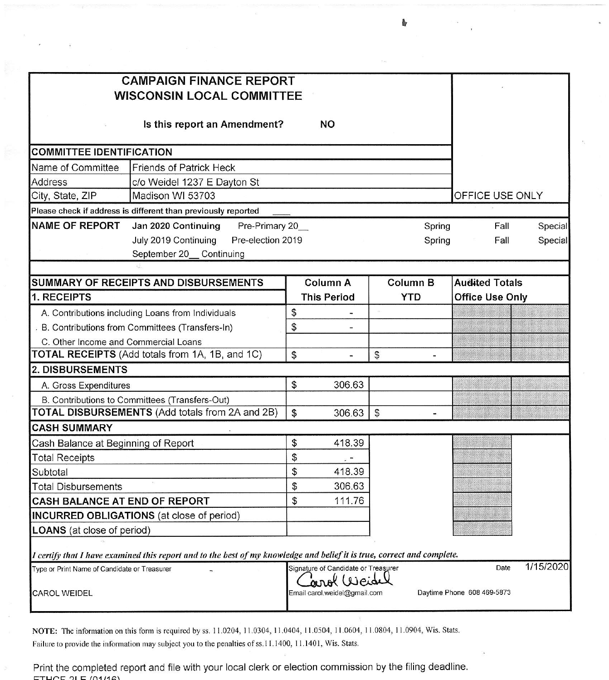| <b>CAMPAIGN FINANCE REPORT</b><br><b>WISCONSIN LOCAL COMMITTEE</b>                                                      |                                                            |        |                 |  |                        |                 |
|-------------------------------------------------------------------------------------------------------------------------|------------------------------------------------------------|--------|-----------------|--|------------------------|-----------------|
| Is this report an Amendment?<br><b>NO</b>                                                                               |                                                            |        |                 |  |                        |                 |
| <b>COMMITTEE IDENTIFICATION</b>                                                                                         |                                                            |        |                 |  |                        |                 |
| Name of Committee<br><b>Friends of Patrick Heck</b>                                                                     |                                                            |        |                 |  |                        |                 |
| <b>Address</b><br>c/o Weidel 1237 E Dayton St                                                                           |                                                            |        |                 |  |                        |                 |
| Madison WI 53703<br>City, State, ZIP                                                                                    |                                                            |        |                 |  |                        | OFFICE USE ONLY |
| Please check if address is different than previously reported                                                           |                                                            |        |                 |  |                        |                 |
| <b>NAME OF REPORT</b><br>Jan 2020 Continuing                                                                            | Pre-Primary 20_<br>Spring                                  |        |                 |  |                        | Special         |
| July 2019 Continuing<br>Pre-election 2019                                                                               | Spring                                                     |        |                 |  | Fall                   | Special         |
| September 20_ Continuing                                                                                                |                                                            |        |                 |  |                        |                 |
|                                                                                                                         |                                                            |        |                 |  |                        |                 |
| <b>SUMMARY OF RECEIPTS AND DISBURSEMENTS</b>                                                                            | Column A                                                   |        | <b>Column B</b> |  | <b>Audited Totals</b>  |                 |
| 1. RECEIPTS                                                                                                             | <b>This Period</b>                                         |        | <b>YTD</b>      |  | <b>Office Use Only</b> |                 |
| A. Contributions including Loans from Individuals                                                                       | \$                                                         |        |                 |  |                        |                 |
| B. Contributions from Committees (Transfers-In)                                                                         | \$                                                         |        |                 |  |                        |                 |
| C. Other Income and Commercial Loans                                                                                    |                                                            |        |                 |  |                        |                 |
| TOTAL RECEIPTS (Add totals from 1A, 1B, and 1C)                                                                         | \$                                                         |        | \$              |  |                        |                 |
| 2. DISBURSEMENTS                                                                                                        |                                                            |        |                 |  |                        |                 |
| A. Gross Expenditures                                                                                                   | \$                                                         | 306.63 |                 |  |                        |                 |
| B. Contributions to Committees (Transfers-Out)                                                                          |                                                            |        |                 |  |                        |                 |
| <b>TOTAL DISBURSEMENTS</b> (Add totals from 2A and 2B)                                                                  | $\mathfrak{S}$                                             | 306.63 | $\mathfrak{S}$  |  |                        |                 |
| <b>CASH SUMMARY</b>                                                                                                     |                                                            |        |                 |  |                        |                 |
| Cash Balance at Beginning of Report                                                                                     | \$                                                         | 418.39 |                 |  |                        |                 |
| <b>Total Receipts</b>                                                                                                   | \$                                                         | . -    |                 |  |                        |                 |
| Subtotal                                                                                                                | \$                                                         | 418.39 |                 |  |                        |                 |
| Total Disbursements                                                                                                     | \$                                                         | 306.63 |                 |  |                        |                 |
| <b>CASH BALANCE AT END OF REPORT</b>                                                                                    | \$                                                         | 111.76 |                 |  |                        |                 |
| INCURRED OBLIGATIONS (at close of period)                                                                               |                                                            |        |                 |  |                        |                 |
| <b>LOANS</b> (at close of period)                                                                                       |                                                            |        |                 |  |                        |                 |
|                                                                                                                         |                                                            |        |                 |  |                        |                 |
| I certify that I have examined this report and to the best of my knowledge and belief it is true, correct and complete. |                                                            |        |                 |  | Date                   | 1/15/2020       |
| Type or Print Name of Candidate or Treasurer                                                                            | Signature of Candidate or Treasurer<br>arol Weide          |        |                 |  |                        |                 |
| CAROL WEIDEL                                                                                                            | Daytime Phone 608 469-5873<br>Email carol.weidel@gmail.com |        |                 |  |                        |                 |

NOTE: The information on this form is required by ss. 11.0204, 11.0304, 11.0404, 11.0504, 11.0604, 11.0804, 11.0904, Wis. Stats. Failure to provide the information may subject you to the penalties of ss.11.1400, 11.1401, Wis. Stats.

Print the completed report and file with your local clerk or election commission by the filing deadline.  $ETUCE 2I E 101/148$